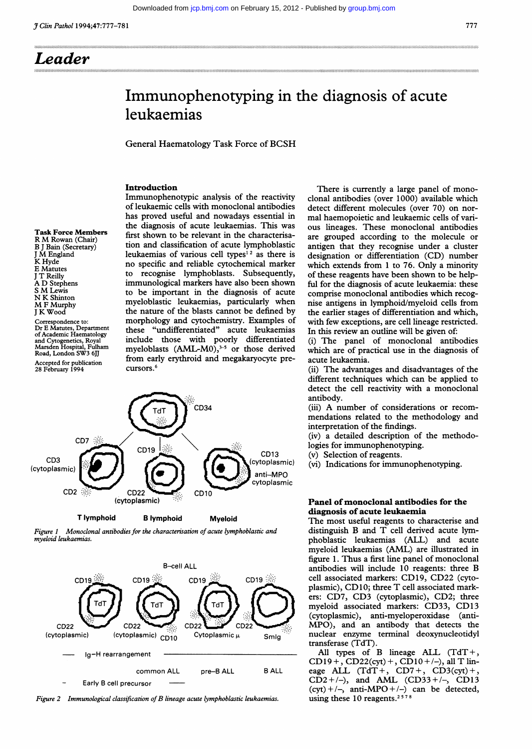...... .':'. I...... ... .-.. ......................... ............... ..

............................................................................................................................................................................................ ......

# Immunophenotyping in the diagnosis of acute leukaemias

General Haematology Task Force of BCSH

# Introduction

Task Force Members R M Rowan (Chair) B <sup>J</sup> Bain (Secretary) <sup>J</sup> M England K Hyde E Matutes <sup>J</sup> T Reilly A D Stephens <sup>S</sup> M Lewis N K Shinton M <sup>F</sup> Murphy <sup>J</sup> K Wood

Correspondence to: Dr E Matutes, Department of Academic Haematology and Cytogenetics, Royal Marsden Hospital, Fulham Road, London SW3 6JJ Accepted for publication 28 February 1994

Immunophenotypic analysis of the reactivity of leukaemic cells with monoclonal antibodies has proved useful and nowadays essential in the diagnosis of acute leukaemias. This was first shown to be relevant in the characterisation and classification of acute lymphoblastic leukaemias of various cell types<sup>12</sup> as there is no specific and reliable cytochemical marker to recognise lymphoblasts. Subsequently, immunological markers have also been shown to be important in the diagnosis of acute myeloblastic leukaemias, particularly when the nature of the blasts cannot be defined by morphology and cytochemistry. Examples of these "undifferentiated" acute leukaemias include those with poorly differentiated myeloblasts  $(AML-M0)$ ,<sup>3-5</sup> or those derived from early erythroid and megakaryocyte precursors.<sup>6</sup>



Figure 1 Monoclonal antibodies for the characterisation of acute lymphoblastic and myeloid leukaemias.



Figure <sup>2</sup> Immunological classification of B lineage acute lymphoblastic leukaemias.

There is currently a large panel of monoclonal antibodies (over 1000) available which detect different molecules (over 70) on normal haemopoietic and leukaemic cells of various lineages. These monoclonal antibodies are grouped according to the molecule or antigen that they recognise under a cluster designation or differentiation (CD) number which extends from <sup>1</sup> to 76. Only a minority of these reagents have been shown to be helpful for the diagnosis of acute leukaemia: these comprise monoclonal antibodies which recognise antigens in lymphoid/myeloid cells from the earlier stages of differentiation and which, with few exceptions, are cell lineage restricted. In this review an outline will be given of:

(i) The panel of monoclonal antibodies which are of practical use in the diagnosis of acute leukaemia.

(ii) The advantages and disadvantages of the different techniques which can be applied to detect the cell reactivity with a monoclonal antibody.

(iii) A number of considerations or recommendations related to the methodology and interpretation of the findings.

(iv) a detailed description of the methodo-

logies for immunophenotyping.

(v) Selection of reagents.

(vi) Indications for immunophenotyping.

## Panel of monoclonal antibodies for the diagnosis of acute leukaemia

The most useful reagents to characterise and distinguish B and T cell derived acute lymphoblastic leukaemias (ALL) and acute myeloid leukaemias (AML) are illustrated in figure 1. Thus a first line panel of monoclonal antibodies will include 10 reagents: three B cell associated markers: CD19, CD22 (cytoplasmic), CD10; three T cell associated markers: CD7, CD3 (cytoplasmic), CD2; three myeloid associated markers: CD33, CD13 (cytoplasmic), anti-myeloperoxidase (anti-MPO), and an antibody that detects the nuclear enzyme terminal deoxynucleotidyl transferase (TdT).

All types of B lineage ALL  $(TdT +$ ,  $CD19+$ ,  $CD22(cyt) +$ ,  $CD10+/-$ ), all T lineage ALL  $(TdT+$ , CD7+, CD3(cyt)+,  $CD2+/-$ ), and AML (CD33+/-, CD13  $(cyt) + /-,$  anti-MPO + /-) can be detected, using these 10 reagents.<sup>2578</sup>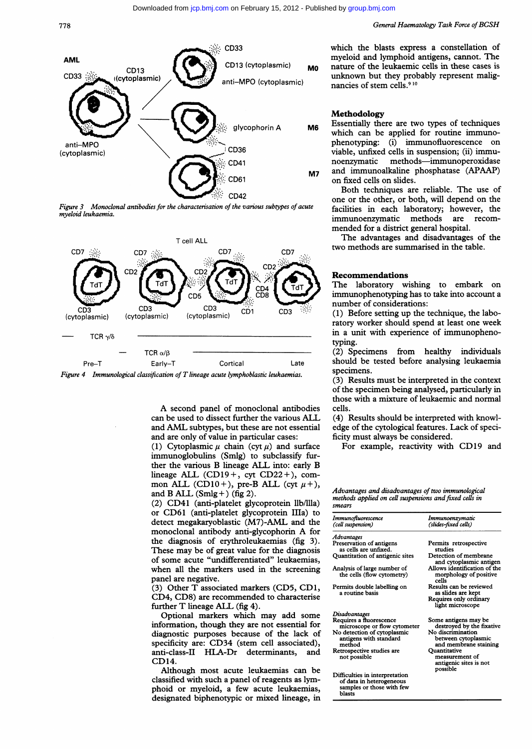

Figure 3 Monoclonal antibodies for the characterisation of the various subtypes of acute myeloid leukaemia.



A second panel of monoclonal antibodies can be used to dissect further the various ALL and AML subtypes, but these are not essential and are only of value in particular cases:

(1) Cytoplasmic  $\mu$  chain (cyt  $\mu$ ) and surface immunoglobulins (Smlg) to subclassify further the various B lineage ALL into: early B lineage ALL (CD19+, cyt CD22+), common ALL (CD10+), pre-B ALL (cyt  $\mu$ +), and B ALL  $(Smlg +)$  (fig 2).

(2) CD41 (anti-platelet glycoprotein llb/llla) or CD61 (anti-platelet glycoprotein lIIa) to detect megakaryoblastic (M7)-AML and the monoclonal antibody anti-glycophorin A for the diagnosis of erythroleukaemias (fig 3). These may be of great value for the diagnosis of some acute "undifferentiated" leukaemias, when all the markers used in the screening panel are negative.

(3) Other T associated markers (CD5, CD1, CD4, CD8) are recommended to characterise further T lineage ALL (fig 4).

Optional markers which may add some information, though they are not essential for diagnostic purposes because of the lack of specificity are: CD34 (stem cell associated), anti-class-II HLA-Dr determinants, and CD14.

Although most acute leukaemias can be classified with such a panel of reagents as lymphoid or myeloid, a few acute leukaemias, designated biphenotypic or mixed lineage, in

which the blasts express a constellation of myeloid and lymphoid antigens, cannot. The nature of the leukaemic cells in these cases is unknown but they probably represent malignancies of stem cells.<sup>910</sup>

#### Methodology

Essentially there are two types of techniques which can be applied for routine immunophenotyping: (i) immunofluorescence on viable, unfixed cells in suspension; (ii) immunoenzymatic methods-immunoperoxidase and immunoalkaline phosphatase (APAAP) on fixed cells on slides.

Both techniques are reliable. The use of one or the other, or both, will depend on the facilities in each laboratory; however, the immunoenzymatic methods are recommended for a district general hospital.

The advantages and disadvantages of the two methods are summarised in the table.

### Recommendations

The laboratory wishing to embark on immunophenotyping has to take into account a number of considerations:

(1) Before setting up the technique, the laboratory worker should spend at least one week in a unit with experience of immunophenotyping.

(2) Specimens from healthy individuals should be tested before analysing leukaemia specimens.

(3) Results must be interpreted in the context of the specimen being analysed, particularly in those with a mixture of leukaemic and normal cells.

(4) Results should be interpreted with knowledge of the cytological features. Lack of specificity must always be considered.

For example, reactivity with CD19 and

Advantages and disadvantages of two immunological methods applied on cell suspensions and fixed cells in smears

| Immunofluorescence<br>(cell suspension)                                                                          | Immunoenzymatic<br>(slides-fixed cells)                                                       |
|------------------------------------------------------------------------------------------------------------------|-----------------------------------------------------------------------------------------------|
| Advantages                                                                                                       |                                                                                               |
| Preservation of antigens<br>as cells are unfixed.                                                                | Permits retrospective<br>studies                                                              |
| Quantitation of antigenic sites                                                                                  | Detection of membrane<br>and cytoplasmic antigen                                              |
| Analysis of large number of<br>the cells (flow cytometry)                                                        | Allows identification of the<br>morphology of positive<br>cells                               |
| Permits double labelling on<br>a routine basis                                                                   | Results can be reviewed<br>as slides are kept<br>Requires only ordinary<br>light microscope   |
| Disadvantages                                                                                                    |                                                                                               |
| Requires a fluorescence<br>microscope or flow cytometer<br>No detection of cytoplasmic<br>antigens with standard | Some antigens may be<br>destroyed by the fixative<br>No discrimination<br>between cytoplasmic |
| method                                                                                                           | and membrane staining                                                                         |
| Retrospective studies are<br>not possible                                                                        | Ouantitative<br>measurement of<br>antigenic sites is not<br>possible                          |
| Difficulties in interpretation<br>of data in heterogeneous<br>samples or those with few<br>blasts                |                                                                                               |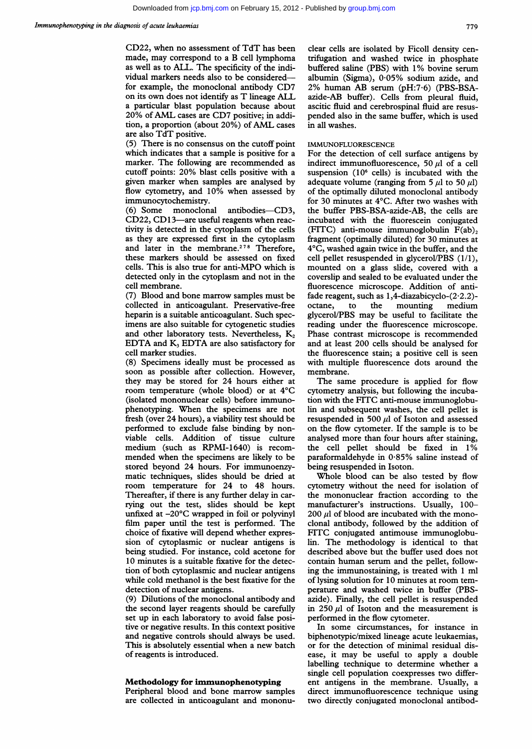CD22, when no assessment of TdT has been made, may correspond to <sup>a</sup> B cell lymphoma as well as to ALL. The specificity of the individual markers needs also to be consideredfor example, the monoclonal antibody CD7 on its own does not identify as T lineage ALL a particular blast population because about 20% of AML cases are CD7 positive; in addition, <sup>a</sup> proportion (about 20%) of AML cases are also TdT positive.

(5) There is no consensus on the cutoff point which indicates that a sample is positive for a marker. The following are recommended as cutoff points: 20% blast cells positive with <sup>a</sup> given marker when samples are analysed by flow cytometry, and 10% when assessed by immunocytochemistry.

(6) Some monoclonal antibodies-CD3, CD22, CD13-are useful reagents when reactivity is detected in the cytoplasm of the cells as they are expressed first in the cytoplasm and later in the membrane.<sup>278</sup> Therefore, these markers should be assessed on fixed cells. This is also true for anti-MPO which is detected only in the cytoplasm and not in the cell membrane.

(7) Blood and bone marrow samples must be collected in anticoagulant. Preservative-free heparin is a suitable anticoagulant. Such specimens are also suitable for cytogenetic studies and other laboratory tests. Nevertheless,  $K<sub>2</sub>$ EDTA and  $K<sub>3</sub>$  EDTA are also satisfactory for cell marker studies.

(8) Specimens ideally must be processed as soon as possible after collection. However, they may be stored for 24 hours either at room temperature (whole blood) or at 4°C (isolated mononuclear cells) before immunophenotyping. When the specimens are not fresh (over 24 hours), a viability test should be performed to exclude false binding by nonviable cells. Addition of tissue culture medium (such as RPMI-1640) is recommended when the specimens are likely to be stored beyond 24 hours. For immunoenzymatic techniques, slides should be dried at room temperature for 24 to 48 hours. Thereafter, if there is any further delay in carrying out the test, slides should be kept unfixed at -20°C wrapped in foil or polyvinyl film paper until the test is performed. The choice of fixative will depend whether expression of cytoplasmic or nuclear antigens is being studied. For instance, cold acetone for 10 minutes is a suitable fixative for the detection of both cytoplasmic and nuclear antigens while cold methanol is the best fixative for the detection of nuclear antigens.

(9) Dilutions of the monoclonal antibody and the second layer reagents should be carefully set up in each laboratory to avoid false positive or negative results. In this context positive and negative controls should always be used. This is absolutely essential when a new batch of reagents is introduced.

#### Methodology for immunophenotyping

Peripheral blood and bone marrow samples are collected in anticoagulant and mononu-

clear cells are isolated by Ficoll density centrifugation and washed twice in phosphate buffered saline (PBS) with 1% bovine serum albumin (Sigma), 0-05% sodium azide, and 2% human AB serum (pH:7-6) (PBS-BSAazide-AB buffer). Cells from pleural fluid, ascitic fluid and cerebrospinal fluid are resuspended also in the same buffer, which is used in all washes.

#### IMMUNOFLUORESCENCE

For the detection of cell surface antigens by indirect immunofluorescence, 50  $\mu$ l of a cell suspension  $(10<sup>6</sup>$  cells) is incubated with the adequate volume (ranging from 5  $\mu$ I to 50  $\mu$ I) of the optimally diluted monoclonal antibody for 30 minutes at 4°C. After two washes with the buffer PBS-BSA-azide-AB, the cells are incubated with the fluorescein conjugated (FITC) anti-mouse immunoglobulin  $F(ab)$ , fragment (optimally diluted) for 30 minutes at 4°C, washed again twice in the buffer, and the cell pellet resuspended in glycerol/PBS (1/1), mounted on a glass slide, covered with a coverslip and sealed to be evaluated under the fluorescence microscope. Addition of antifade reagent, such as 1,4-diazabicyclo-(2-2.2) octane, to the mounting medium glycerol/PBS may be useful to facilitate the reading under the fluorescence microscope. Phase contrast microscope is recommended and at least 200 cells should be analysed for the fluorescence stain; a positive cell is seen with multiple fluorescence dots around the membrane.

The same procedure is applied for flow cytometry analysis, but following the incubation with the FITC anti-mouse immunoglobulin and subsequent washes, the cell pellet is resuspended in 500  $\mu$ l of Isoton and assessed on the flow cytometer. If the sample is to be analysed more than four hours after staining, the cell pellet should be fixed in 1% paraformaldehyde in 0-85% saline instead of being resuspended in Isoton.

Whole blood can be also tested by flow cytometry without the need for isolation of the mononuclear fraction according to the manufacturer's instructions. Usually, 100-  $200 \mu l$  of blood are incubated with the monoclonal antibody, followed by the addition of FITC conjugated antimouse immunoglobulin. The methodology is identical to that described above but the buffer used does not contain human serum and the pellet, following the immunostaining, is treated with <sup>1</sup> ml of lysing solution for 10 minutes at room temperature and washed twice in buffer (PBSazide). Finally, the cell pellet is resuspended in 250  $\mu$ l of Isoton and the measurement is performed in the flow cytometer.

In some circumstances, for instance in biphenotypic/mixed lineage acute leukaemias, or for the detection of minimal residual disease, it may be useful to apply a double labelling technique to determine whether a single cell population coexpresses two different antigens in the membrane. Usually, a direct immunofluorescence technique using two directly conjugated monoclonal antibod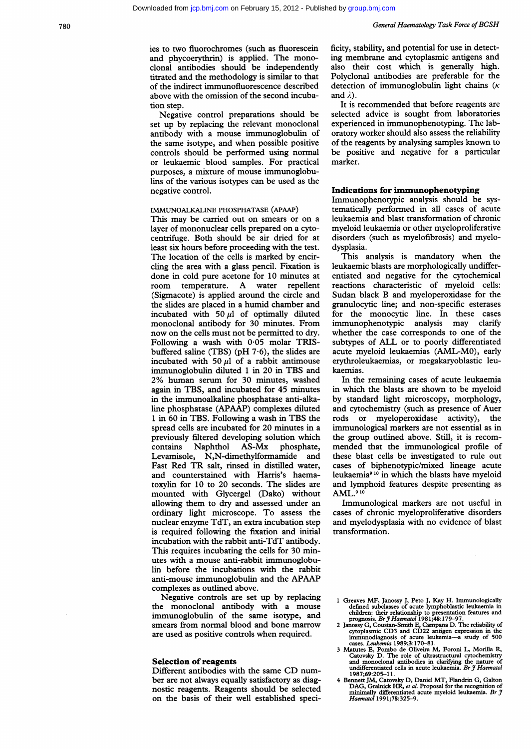ies to two fluorochromes (such as fluorescein and phycoerythrin) is applied. The monoclonal antibodies should be independently titrated and the methodology is similar to that of the indirect immunofluorescence described above with the omission of the second incubation step.

Negative control preparations should be set up by replacing the relevant monoclonal antibody with a mouse immunoglobulin of the same isotype, and when possible positive controls should be performed using normal or leukaemic blood samples. For practical purposes, a mixture of mouse immunoglobulins of the various isotypes can be used as the negative control.

#### IMMUNOALKALINE PHOSPHATASE (APAAP)

This may be carried out on smears or on <sup>a</sup> layer of mononuclear cells prepared on a cytocentrifuge. Both should be air dried for at least six hours before proceeding with the test. The location of the cells is marked by encircling the area with a glass pencil. Fixation is done in cold pure acetone for 10 minutes at room temperature. A water repellent (Sigmacote) is applied around the circle and the slides are placed in a humid chamber and incubated with 50  $\mu$ l of optimally diluted monoclonal antibody for 30 minutes. From now on the cells must not be permitted to dry. Following a wash with  $0.05$  molar TRISbuffered saline (TBS) (pH  $7.6$ ), the slides are incubated with 50  $\mu$ l of a rabbit antimouse immunoglobulin diluted <sup>1</sup> in 20 in TBS and 2% human serum for 30 minutes, washed again in TBS, and incubated for 45 minutes in the immunoalkaline phosphatase anti-alkaline phosphatase (APAAP) complexes diluted <sup>1</sup> in 60 in TBS. Following <sup>a</sup> wash in TBS the spread cells are incubated for 20 minutes in a previously filtered developing solution which contains Naphthol AS-Mx phosphate, Levamisole, N,N-dimethylformamide and Fast Red TR salt, rinsed in distilled water, and counterstained with Harris's haematoxylin for 10 to 20 seconds. The slides are mounted with Glycergel (Dako) without allowing them to dry and assessed under an ordinary light microscope. To assess the nuclear enzyme TdT, an extra incubation step is required following the fixation and initial incubation with the rabbit anti-TdT antibody. This requires incubating the cells for 30 minutes with a mouse anti-rabbit immunoglobulin before the incubations with the rabbit anti-mouse immunoglobulin and the APAAP complexes as outlined above.

Negative controls are set up by replacing the monoclonal antibody with a mouse immunoglobulin of the same isotype, and smears from normal blood and bone marrow are used as positive controls when required.

#### Selection of reagents

Different antibodies with the same CD number are not always equally satisfactory as diagnostic reagents. Reagents should be selected on the basis of their well established specificity, stability, and potential for use in detecting membrane and cytoplasmic antigens and also their cost which is generally high. Polyclonal antibodies are preferable for the detection of immunoglobulin light chains  $(\kappa)$ and  $\lambda$ ).

It is recommended that before reagents are selected advice is sought from laboratories experienced in immunophenotyping. The laboratory worker should also assess the reliability of the reagents by analysing samples known to be positive and negative for a particular marker.

#### Indications for immunophenotyping

Immunophenotypic analysis should be systematically performed in all cases of acute leukaemia and blast transformation of chronic myeloid leukaemia or other myeloproliferative disorders (such as myelofibrosis) and myelodysplasia.

This analysis is mandatory when the leukaemic blasts are morphologically undifferentiated and negative for the cytochemical reactions characteristic of myeloid cells: Sudan black B and myeloperoxidase for the granulocytic line; and non-specific esterases for the monocytic line. In these cases immunophenotypic analysis may clarify whether the case corresponds to one of the subtypes of ALL or to poorly differentiated acute myeloid leukaemias (AML-MO), early erythroleukaemias, or megakaryoblastic leukaemias.

In the remaining cases of acute leukaemia in which the blasts are shown to be myeloid by standard light microscopy, morphology, and cytochemistry (such as presence of Auer rods or myeloperoxidase activity), the immunological markers are not essential as in the group outlined above. Still, it is recommended that the immunological profile of these blast cells be investigated to rule out cases of biphenotypic/mixed lineage acute leukaemia9 <sup>10</sup> in which the blasts have myeloid and lymphoid features despite presenting as AMIL.9 <sup>10</sup>

Immunological markers are not useful in cases of chronic myeloproliferative disorders and myelodysplasia with no evidence of blast transformation.

- 1 Greaves MF, Janossy J, Peto J, Kay H. Immunologically<br>defined subclasses of acute lympholdastic leukaemia in<br>children: their relationship to presentation features and<br>prognosis. Br *J Haematol* 1981;48:179–97.<br>2 Janossy
- 3 Matutes E, Pombo de Oliveira M, Foroni L, Morilla R, Catovsky D. The role of ultrastructural cytochemistry and monoclonal antibodies in clarifying the nature of undifferentiated cells in acute leukaemia. Br  $\tilde{y}$  Hae 1987;69:205-1 1.
- 4 Bennett JM, Catovsky D, Daniel MT, Flandrin G, Galton DAG, Gralnick HR, et al. Proposal for the recognition of minimally differentiated acute myeloid leukaemia. Br  $\tilde{\jmath}$  Haematol 1991;78:325-9.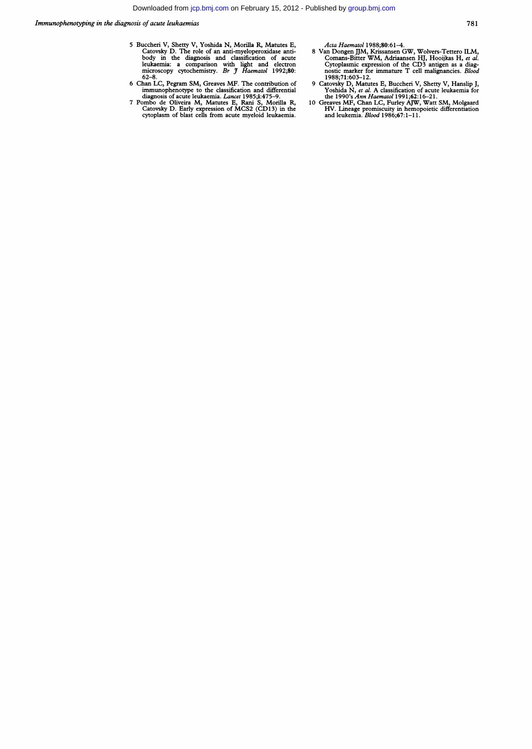Immunophenotping in the diagnosis of acute leukaemias

- 5 Buccheri V, Shetty V, Yoshida N, Morilla R, Matutes E,<br>Catovsky D. The role of an anti-myeloperoxidase anti-<br>body in the diagnosis and classification of acute<br>leukaemia: a comparison with light and electron<br>microscopy cy
- 
- 

- Arte Haematol 1983;80:01—4.<br>
8 Van Dongen JJM, Krissansen GW, Wolvers-Tettero ILM,<br>
Comans-Bitter WM, Adriaansen HJ, Hooijkas H, et al.<br>
Cytoplasmic expression of the CD3 antigen as a diagnostic marker for immature T cell
- 
-